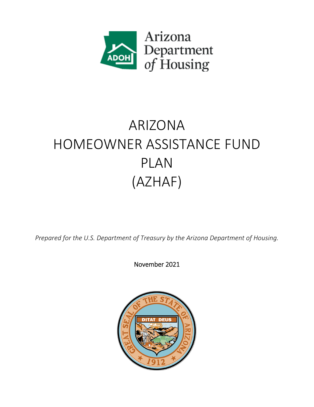

# ARIZONA HOMEOWNER ASSISTANCE FUND PLAN (AZHAF)

*Prepared for the U.S. Department of Treasury by the Arizona Department of Housing.*

November 2021

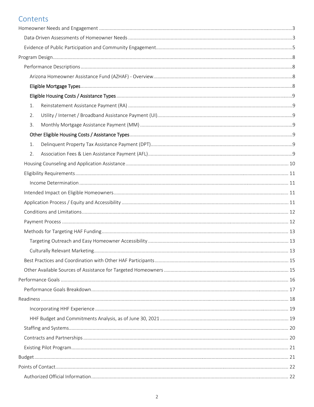# Contents

| 1. |  |
|----|--|
| 2. |  |
| 3. |  |
|    |  |
| 1. |  |
| 2. |  |
|    |  |
|    |  |
|    |  |
|    |  |
|    |  |
|    |  |
|    |  |
|    |  |
|    |  |
|    |  |
|    |  |
|    |  |
|    |  |
|    |  |
|    |  |
|    |  |
|    |  |
|    |  |
|    |  |
|    |  |
|    |  |
|    |  |
|    |  |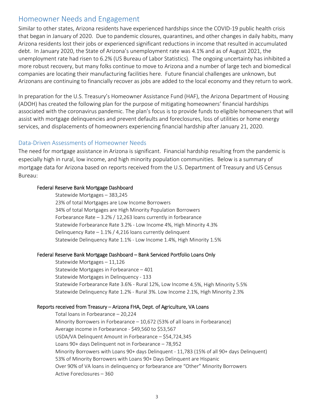# Homeowner Needs and Engagement

Similar to other states, Arizona residents have experienced hardships since the COVID‐19 public health crisis that began in January of 2020. Due to pandemic closures, quarantines, and other changes in daily habits, many Arizona residents lost their jobs or experienced significant reductions in income that resulted in accumulated debt. In January 2020, the State of Arizona's unemployment rate was 4.1% and as of August 2021, the unemployment rate had risen to 6.2% (US Bureau of Labor Statistics). The ongoing uncertainty has inhibited a more robust recovery, but many folks continue to move to Arizona and a number of large tech and biomedical companies are locating their manufacturing facilities here. Future financial challenges are unknown, but Arizonans are continuing to financially recover as jobs are added to the local economy and they return to work.

In preparation for the U.S. Treasury's Homeowner Assistance Fund (HAF), the Arizona Department of Housing (ADOH) has created the following plan for the purpose of mitigating homeowners' financial hardships associated with the coronavirus pandemic. The plan's focus is to provide funds to eligible homeowners that will assist with mortgage delinquencies and prevent defaults and foreclosures, loss of utilities or home energy services, and displacements of homeowners experiencing financial hardship after January 21, 2020.

### Data‐Driven Assessments of Homeowner Needs

The need for mortgage assistance in Arizona is significant. Financial hardship resulting from the pandemic is especially high in rural, low income, and high minority population communities. Below is a summary of mortgage data for Arizona based on reports received from the U.S. Department of Treasury and US Census Bureau:

#### Federal Reserve Bank Mortgage Dashboard

Statewide Mortgages – 383,245 23% of total Mortgages are Low Income Borrowers 34% of total Mortgages are High Minority Population Borrowers Forbearance Rate – 3.2% / 12,263 loans currently in forbearance Statewide Forbearance Rate 3.2% ‐ Low Income 4%, High Minority 4.3% Delinquency Rate – 1.1% / 4,216 loans currently delinquent Statewide Delinquency Rate 1.1% ‐ Low Income 1.4%, High Minority 1.5%

#### Federal Reserve Bank Mortgage Dashboard – Bank Serviced Portfolio Loans Only

Statewide Mortgages – 11,126 Statewide Mortgages in Forbearance – 401 Statewide Mortgages in Delinquency ‐ 133 Statewide Forbearance Rate 3.6% ‐ Rural 12%, Low Income 4.5%, High Minority 5.5% Statewide Delinquency Rate 1.2% ‐ Rural 3%. Low Income 2.1%, High Minority 2.3%

#### Reports received from Treasury – Arizona FHA, Dept. of Agriculture, VA Loans

Total loans in Forbearance – 20,224 Minority Borrowers in Forbearance – 10,672 (53% of all loans in Forbearance) Average income in Forbearance ‐ \$49,560 to \$53,567 USDA/VA Delinquent Amount in Forbearance – \$54,724,345 Loans 90+ days Delinquent not in Forbearance – 78,952 Minority Borrowers with Loans 90+ days Delinquent ‐ 11,783 (15% of all 90+ days Delinquent) 53% of Minority Borrowers with Loans 90+ Days Delinquent are Hispanic Over 90% of VA loans in delinquency or forbearance are "Other" Minority Borrowers Active Foreclosures – 360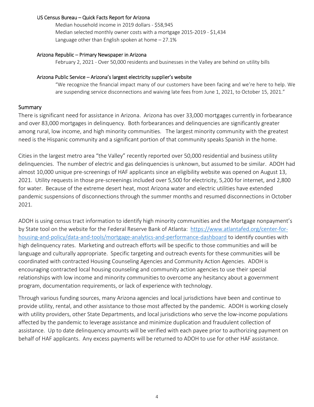#### US Census Bureau – Quick Facts Report for Arizona

Median household income in 2019 dollars ‐ \$58,945 Median selected monthly owner costs with a mortgage 2015‐2019 ‐ \$1,434 Language other than English spoken at home – 27.1%

#### Arizona Republic – Primary Newspaper in Arizona

February 2, 2021 - Over 50,000 residents and businesses in the Valley are behind on utility bills

#### Arizona Public Service – Arizona's largest electricity supplier's website

"We recognize the financial impact many of our customers have been facing and we're here to help. We are suspending service disconnections and waiving late fees from June 1, 2021, to October 15, 2021."

#### **Summary**

There is significant need for assistance in Arizona. Arizona has over 33,000 mortgages currently in forbearance and over 83,000 mortgages in delinquency. Both forbearances and delinquencies are significantly greater among rural, low income, and high minority communities. The largest minority community with the greatest need is the Hispanic community and a significant portion of that community speaks Spanish in the home.

Cities in the largest metro area "the Valley" recently reported over 50,000 residential and business utility delinquencies. The number of electric and gas delinquencies is unknown, but assumed to be similar. ADOH had almost 10,000 unique pre‐screenings of HAF applicants since an eligibility website was opened on August 13, 2021. Utility requests in those pre‐screenings included over 5,500 for electricity, 5,200 for internet, and 2,800 for water. Because of the extreme desert heat, most Arizona water and electric utilities have extended pandemic suspensions of disconnections through the summer months and resumed disconnections in October 2021.

ADOH is using census tract information to identify high minority communities and the Mortgage nonpayment's by State tool on the website for the Federal Reserve Bank of Atlanta: https://www.atlantafed.org/center‐for‐ housing-and-policy/data-and-tools/mortgage-analytics-and-performance-dashboard to identify counties with high delinquency rates. Marketing and outreach efforts will be specific to those communities and will be language and culturally appropriate. Specific targeting and outreach events for these communities will be coordinated with contracted Housing Counseling Agencies and Community Action Agencies. ADOH is encouraging contracted local housing counseling and community action agencies to use their special relationships with low income and minority communities to overcome any hesitancy about a government program, documentation requirements, or lack of experience with technology.

Through various funding sources, many Arizona agencies and local jurisdictions have been and continue to provide utility, rental, and other assistance to those most affected by the pandemic. ADOH is working closely with utility providers, other State Departments, and local jurisdictions who serve the low‐income populations affected by the pandemic to leverage assistance and minimize duplication and fraudulent collection of assistance. Up to date delinquency amounts will be verified with each payee prior to authorizing payment on behalf of HAF applicants. Any excess payments will be returned to ADOH to use for other HAF assistance.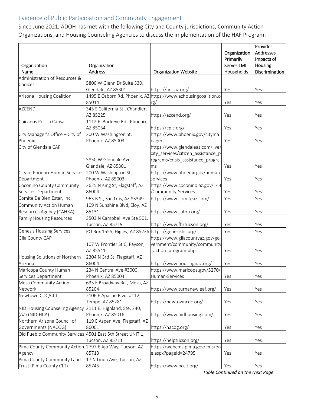# Evidence of Public Participation and Community Engagement

Since June 2021, ADOH has met with the following City and County jurisdictions, Community Action Organizations, and Housing Counseling Agencies to discuss the implementation of the HAF Program:

| Organization<br>Name                                       | Organization<br><b>Address</b>                       | <b>Organization Website</b>                                    | Organization<br>Primarily<br>Serves LMI<br>Households | Provider<br>Addresses<br>Impacts of<br>Housing<br>Discrimination |
|------------------------------------------------------------|------------------------------------------------------|----------------------------------------------------------------|-------------------------------------------------------|------------------------------------------------------------------|
| Administration of Resources &                              |                                                      |                                                                |                                                       |                                                                  |
| Choices                                                    | 5800 W Glenn Dr Suite 330,                           |                                                                |                                                       |                                                                  |
|                                                            | Glendale, AZ 85301                                   | https://arc-az.org/                                            | Yes                                                   | Yes                                                              |
| Arizona Housing Coalition                                  |                                                      | 1495 E Osborn Rd, Phoenix, AZ https://www.azhousingcoalition.o |                                                       |                                                                  |
|                                                            | 85014<br>345 S California St., Chandler,             | rg/                                                            | Yes                                                   | Yes                                                              |
| <b>AZCEND</b>                                              | AZ 85225                                             | https://azcend.org/                                            | Yes                                                   | Yes                                                              |
| Chicanos Por La Causa                                      | 1112 E. Buckeye Rd., Phoenix,                        |                                                                |                                                       |                                                                  |
|                                                            | AZ 85034                                             | https://cplc.org/                                              | Yes                                                   | Yes                                                              |
| City Manager's Office - City of                            | 200 W Washington St,                                 | https://www.phoenix.gov/cityma                                 |                                                       |                                                                  |
| Phoenix                                                    | Phoenix, AZ 85003                                    | nager                                                          | Yes                                                   | Yes                                                              |
| City of Glendale CAP                                       |                                                      | https://www.glendaleaz.com/live/                               |                                                       |                                                                  |
|                                                            |                                                      | city_services/citizen_assistance_p                             |                                                       |                                                                  |
|                                                            | 5850 W Glendale Ave,                                 | rograms/crisis_assistance_progra                               |                                                       |                                                                  |
|                                                            | Glendale, AZ 85301                                   | ms                                                             | Yes                                                   | Yes                                                              |
| City of Phoenix Human Services                             | 200 W Washington St,                                 | https://www.phoenix.gov/human                                  |                                                       |                                                                  |
| Department                                                 | Phoenix, AZ 85003                                    | services                                                       | Yes                                                   | Yes                                                              |
| Coconino County Community                                  | 2625 N King St, Flagstaff, AZ                        | https://www.coconino.az.gov/143                                |                                                       |                                                                  |
| Services Department                                        | 86004                                                | /Community-Services                                            | Yes                                                   | Yes                                                              |
| Comite De Bien Estar, Inc.                                 | 963 B St, San Luis, AZ 85349                         | https://www.comiteaz.com/                                      | Yes                                                   | Yes                                                              |
| Community Action Human                                     | 109 N Sunshine Blvd, Eloy, AZ                        |                                                                |                                                       |                                                                  |
| Resources Agency (CAHRA)                                   | 85131                                                | https://www.cahra.org/                                         | Yes                                                   | Yes                                                              |
| <b>Family Housing Resources</b>                            | 3503 N Campbell Ave Ste 501,<br>Tucson, AZ 85719     | https://www.fhrtucson.org/                                     | Yes                                                   | Yes                                                              |
| <b>Genesis Housing Services</b>                            | PO Box 1555, Higley, AZ 85236 https://genesishs.org/ |                                                                | Yes                                                   | Yes                                                              |
| Gila County CAP                                            |                                                      | https://www.gilacountyaz.gov/go                                |                                                       |                                                                  |
|                                                            | 107 W Frontier St C, Payson,                         | vernment/community/community                                   |                                                       |                                                                  |
|                                                            | AZ 85541                                             | action_program.php                                             | Yes                                                   | Yes                                                              |
| Housing Solutions of Northern                              | 2304 N 3rd St, Flagstaff, AZ                         |                                                                |                                                       |                                                                  |
| Arizona                                                    | 86004                                                | https://www.housingnaz.org/                                    | Yes                                                   | Yes                                                              |
| Maricopa County Human                                      | 234 N Central Ave #3000,                             | https://www.maricopa.gov/5270/                                 |                                                       |                                                                  |
| Services Department                                        | Phoenix, AZ 85004                                    | Human-Services                                                 | Yes                                                   | Yes                                                              |
| Mesa Community Action<br>Network                           | 635 E Broadway Rd., Mesa, AZ<br>85204                | https://www.turnanewleaf.org/                                  | Yes                                                   | Yes                                                              |
| Newtown CDC/CLT                                            | 2106 E Apache Blvd. #112,                            |                                                                |                                                       |                                                                  |
|                                                            | Tempe, AZ 85281                                      | https://newtowncdc.org/                                        | Yes                                                   | Yes                                                              |
| NID Housing Counseling Agency 2111 E. Highland, Ste. 240,  |                                                      |                                                                |                                                       |                                                                  |
| (AZ) (NID-HCA)                                             | Phoenix, AZ 85016                                    | https://www.nidhousing.com/                                    | Yes                                                   | Yes                                                              |
| Northern Arizona Council of                                | 119 E Aspen Ave, Flagstaff, AZ                       |                                                                |                                                       |                                                                  |
| Governments (NACOG)                                        | 86001                                                | https://nacog.org/                                             | Yes                                                   | Yes                                                              |
| Old Pueblo Community Services 4501 East 5th Street UNIT 1, | Tucson, AZ 85711                                     | https://helptucson.org/                                        | Yes                                                   | Yes                                                              |
| Pima County Community Action 2797 E Ajo Way, Tucson, AZ    |                                                      | https://webcms.pima.gov/cms/on                                 |                                                       |                                                                  |
| Agency                                                     | 85713                                                | e.aspx?pageId=24795                                            | Yes                                                   | Yes                                                              |
| Pima County Community Land                                 | 17 N Linda Ave, Tucson, AZ                           |                                                                |                                                       |                                                                  |
| Trust (Pima County CLT)                                    | 85745                                                | https://www.pcclt.org/                                         | Yes                                                   | Yes                                                              |

*Table Continued on the Next Page*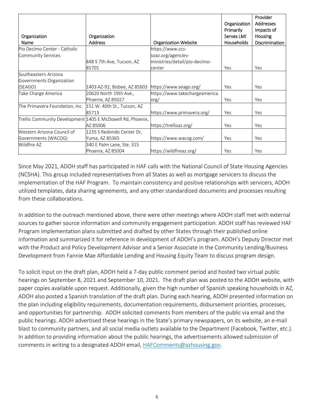|                                                            |                              |                                |                   | Provider         |
|------------------------------------------------------------|------------------------------|--------------------------------|-------------------|------------------|
|                                                            |                              |                                | Organization      | <b>Addresses</b> |
|                                                            |                              |                                | <b>Primarily</b>  | Impacts of       |
| Organization                                               | Organization                 |                                | Serves LMI        | <b>Housing</b>   |
| Name                                                       | <b>Address</b>               | <b>Organization Website</b>    | <b>Households</b> | Discrimination   |
| Pio Decimo Center - Catholic                               |                              | https://www.ccs-               |                   |                  |
| <b>Community Services</b>                                  |                              | soaz.org/agencies-             |                   |                  |
|                                                            | 848 S 7th Ave, Tucson, AZ    | ministries/detail/pio-decimo-  |                   |                  |
|                                                            | 85701                        | center                         | Yes               | Yes              |
| Southeastern Arizona                                       |                              |                                |                   |                  |
| Governments Organization                                   |                              |                                |                   |                  |
| (SEAGO)                                                    | 1403 AZ-92, Bisbee, AZ 85603 | https://www.seago.org/         | Yes               | Yes              |
| Take Charge America                                        | 20620 North 19th Ave.,       | https://www.takechargeamerica. |                   |                  |
|                                                            | Phoenix, AZ 85027            | org/                           | Yes               | Yes              |
| The Primavera Foundation, Inc.                             | 151 W. 40th St., Tucson, AZ  |                                |                   |                  |
|                                                            | 85713                        | https://www.primavera.org/     | Yes               | Yes              |
| Trellis Community Development 1405 E McDowell Rd, Phoenix, |                              |                                |                   |                  |
|                                                            | AZ 85006                     | https://trellisaz.org/         | Yes               | Yes              |
| Western Arizona Council of                                 | 1235 S Redondo Center Dr,    |                                |                   |                  |
| Governments (WACOG)                                        | Yuma, AZ 85365               | https://www.wacog.com/         | Yes               | Yes              |
| Wildfire AZ                                                | 340 E Palm Lane, Ste. 315    |                                |                   |                  |
|                                                            | Phoenix, AZ 85004            | https://wildfireaz.org/        | Yes               | Yes              |

Since May 2021, ADOH staff has participated in HAF calls with the National Council of State Housing Agencies (NCSHA). This group included representatives from all States as well as mortgage servicers to discuss the implementation of the HAF Program. To maintain consistency and positive relationships with servicers, ADOH utilized templates, data sharing agreements, and any other standardized documents and processes resulting from these collaborations.

In addition to the outreach mentioned above, there were other meetings where ADOH staff met with external sources to gather source information and community engagement participation. ADOH staff has reviewed HAF Program implementation plans submitted and drafted by other States through their published online information and summarized it for reference in development of ADOH's program. ADOH's Deputy Director met with the Product and Policy Development Advisor and a Senior Associate in the Community Lending/Business Development from Fannie Mae Affordable Lending and Housing Equity Team to discuss program design.

To solicit input on the draft plan, ADOH held a 7‐day public comment period and hosted two virtual public hearings on September 8, 2021 and September 10, 2021. The draft plan was posted to the ADOH website, with paper copies available upon request. Additionally, given the high number of Spanish speaking households in AZ, ADOH also posted a Spanish translation of the draft plan. During each hearing, ADOH presented information on the plan including eligibility requirements, documentation requirements, disbursement priorities, processes, and opportunities for partnership. ADOH solicited comments from members of the public via email and the public hearings. ADOH advertised these hearings in the State's primary newspapers, on its website, an e‐mail blast to community partners, and all social media outlets available to the Department (Facebook, Twitter, etc.). In addition to providing information about the public hearings, the advertisements allowed submission of comments in writing to a designated ADOH email, HAFComments@azhousing.gov.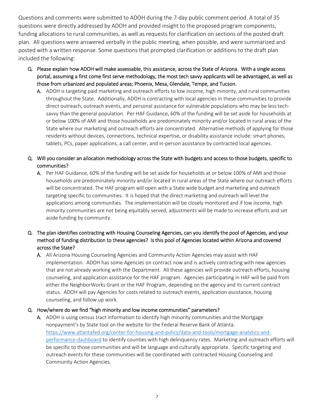Questions and comments were submitted to ADOH during the 7‐day public comment period. A total of 35 questions were directly addressed by ADOH and provided insight to the proposed program components, funding allocations to rural communities, as well as requests for clarification on sections of the posted draft plan. All questions were answered verbally in the public meeting, when possible, and were summarized and posted with a written response. Some questions that prompted clarification or additions to the draft plan included the following:

- Q. Please explain how ADOH will make assessable, this assistance, across the State of Arizona. With a single access portal, assuming a first come first serve methodology, the most tech savvy applicants will be advantaged, as well as those from urbanized and populated areas; Phoenix, Mesa, Glendale, Tempe, and Tucson.
	- A. ADOH is targeting paid marketing and outreach efforts to low income, high minority, and rural communities throughout the State. Additionally, ADOH is contracting with local agencies in these communities to provide direct outreach, outreach events, and personal assistance for vulnerable populations who may be less tech‐ savvy than the general population. Per HAF Guidance, 60% of the funding will be set aside for households at or below 100% of AMI and those households are predominately minority and/or located in rural areas of the State where our marketing and outreach efforts are concentrated. Alternative methods of applying for those residents without devices, connections, technical expertise, or disability assistance include: smart phones, tablets, PCs, paper applications, a call center, and in‐person assistance by contracted local agencies.

#### Q. Will you consider an allocation methodology across the State with budgets and access to those budgets, specific to communities?

A. Per HAF Guidance, 60% of the funding will be set aside for households at or below 100% of AMI and those households are predominately minority and/or located in rural areas of the State where our outreach efforts will be concentrated. The HAF program will open with a State wide budget and marketing and outreach targeting specific to communities. It is hoped that the direct marketing and outreach will level the applications among communities. The implementation will be closely monitored and if low income, high minority communities are not being equitably served, adjustments will be made to increase efforts and set aside funding by community.

### Q. The plan identifies contracting with Housing Counseling Agencies, can you identify the pool of Agencies, and your method of funding distribution to these agencies? Is this pool of Agencies located within Arizona and covered across the State?

A. All Arizona Housing Counseling Agencies and Community Action Agencies may assist with HAF implementation. ADOH has some Agencies on contract now and is actively contracting with new agencies that are not already working with the Department. All these agencies will provide outreach efforts, housing counseling, and application assistance for the HAF program. Agencies participating in HAF will be paid from either the NeighborWorks Grant or the HAF Program, depending on the agency and its current contract status. ADOH will pay Agencies for costs related to outreach events, application assistance, housing counseling, and follow up work.

#### Q. How/where do we find "high minority and low income communities" parameters?

A. ADOH is using census tract information to identify high minority communities and the Mortgage nonpayment's by State tool on the website for the Federal Reserve Bank of Atlanta: https://www.atlantafed.org/center-for-housing-and-policy/data-and-tools/mortgage-analytics-andperformance‐dashboard to identify counties with high delinquency rates. Marketing and outreach efforts will be specific to those communities and will be language and culturally appropriate. Specific targeting and outreach events for these communities will be coordinated with contracted Housing Counseling and Community Action Agencies.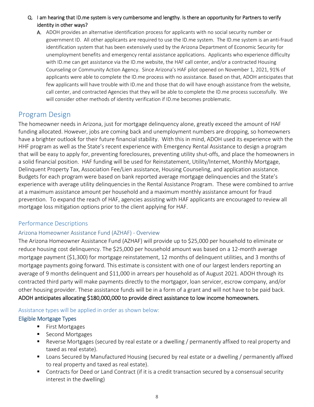Q. I am hearing that ID.me system is very cumbersome and lengthy. Is there an opportunity for Partners to verify identity in other ways?

A. ADOH provides an alternative identification process for applicants with no social security number or government ID. All other applicants are required to use the ID.me system. The ID.me system is an anti‐fraud identification system that has been extensively used by the Arizona Department of Economic Security for unemployment benefits and emergency rental assistance applications. Applicants who experience difficulty with ID.me can get assistance via the ID.me website, the HAF call center, and/or a contracted Housing Counseling or Community Action Agency. Since Arizona's HAF pilot opened on November 1, 2021, 91% of applicants were able to complete the ID.me process with no assistance. Based on that, ADOH anticipates that few applicants will have trouble with ID.me and those that do will have enough assistance from the website, call center, and contracted Agencies that they will be able to complete the ID.me process successfully. We will consider other methods of identity verification if ID.me becomes problematic.

# Program Design

The homeowner needs in Arizona, just for mortgage delinquency alone, greatly exceed the amount of HAF funding allocated. However, jobs are coming back and unemployment numbers are dropping, so homeowners have a brighter outlook for their future financial stability. With this in mind, ADOH used its experience with the HHF program as well as the State's recent experience with Emergency Rental Assistance to design a program that will be easy to apply for, preventing foreclosures, preventing utility shut‐offs, and place the homeowners in a solid financial position. HAF funding will be used for Reinstatement, Utility/Internet, Monthly Mortgage, Delinquent Property Tax, Association Fee/Lien assistance, Housing Counseling, and application assistance. Budgets for each program were based on bank reported average mortgage delinquencies and the State's experience with average utility delinquencies in the Rental Assistance Program. These were combined to arrive at a maximum assistance amount per household and a maximum monthly assistance amount for fraud prevention. To expand the reach of HAF, agencies assisting with HAF applicants are encouraged to review all mortgage loss mitigation options prior to the client applying for HAF.

### Performance Descriptions

#### Arizona Homeowner Assistance Fund (AZHAF) ‐ Overview

The Arizona Homeowner Assistance Fund (AZHAF) will provide up to \$25,000 per household to eliminate or reduce housing cost delinquency. The \$25,000 per household amount was based on a 12‐month average mortgage payment (\$1,300) for mortgage reinstatement, 12 months of delinquent utilities, and 3 months of mortgage payments going forward. This estimate is consistent with one of our largest lenders reporting an average of 9 months delinquent and \$11,000 in arrears per household as of August 2021. ADOH through its contracted third party will make payments directly to the mortgagor, loan servicer, escrow company, and/or other housing provider. These assistance funds will be in a form of a grant and will not have to be paid back. ADOH anticipates allocating \$180,000,000 to provide direct assistance to low income homeowners.

#### Assistance types will be applied in order as shown below:

#### Eligible Mortgage Types

- First Mortgages
- Second Mortgages
- Reverse Mortgages (secured by real estate or a dwelling / permanently affixed to real property and taxed as real estate).
- **E** Loans Secured by Manufactured Housing (secured by real estate or a dwelling / permanently affixed to real property and taxed as real estate).
- **Contracts for Deed or Land Contract (if it is a credit transaction secured by a consensual security** interest in the dwelling)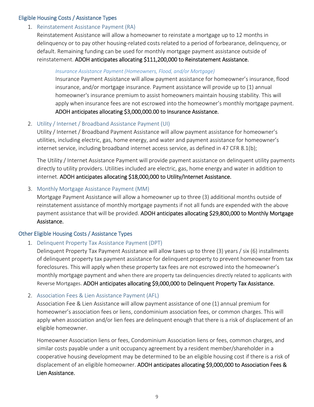### Eligible Housing Costs / Assistance Types

# 1. Reinstatement Assistance Payment (RA)

Reinstatement Assistance will allow a homeowner to reinstate a mortgage up to 12 months in delinquency or to pay other housing‐related costs related to a period of forbearance, delinquency, or default. Remaining funding can be used for monthly mortgage payment assistance outside of reinstatement. ADOH anticipates allocating \$111,200,000 to Reinstatement Assistance.

#### *Insurance Assistance Payment (Homeowners, Flood, and/or Mortgage)*

Insurance Payment Assistance will allow payment assistance for homeowner's insurance, flood insurance, and/or mortgage insurance. Payment assistance will provide up to (1) annual homeowner's insurance premium to assist homeowners maintain housing stability. This will apply when insurance fees are not escrowed into the homeowner's monthly mortgage payment. ADOH anticipates allocating \$3,000,000.00 to Insurance Assistance.

#### 2. Utility / Internet / Broadband Assistance Payment (UI)

Utility / Internet / Broadband Payment Assistance will allow payment assistance for homeowner's utilities, including electric, gas, home energy, and water and payment assistance for homeowner's internet service, including broadband internet access service, as defined in 47 CFR 8.1(b);

The Utility / Internet Assistance Payment will provide payment assistance on delinquent utility payments directly to utility providers. Utilities included are electric, gas, home energy and water in addition to internet. ADOH anticipates allocating \$18,000,000 to Utility/Internet Assistance.

#### 3. Monthly Mortgage Assistance Payment (MM)

Mortgage Payment Assistance will allow a homeowner up to three (3) additional months outside of reinstatement assistance of monthly mortgage payments if not all funds are expended with the above payment assistance that will be provided. ADOH anticipates allocating \$29,800,000 to Monthly Mortgage Assistance.

### Other Eligible Housing Costs / Assistance Types

### 1. Delinquent Property Tax Assistance Payment (DPT)

Delinquent Property Tax Payment Assistance will allow taxes up to three (3) years / six (6) installments of delinquent property tax payment assistance for delinquent property to prevent homeowner from tax foreclosures. This will apply when these property tax fees are not escrowed into the homeowner's monthly mortgage payment and when there are property tax delinquencies directly related to applicants with Reverse Mortgages. ADOH anticipates allocating \$9,000,000 to Delinquent Property Tax Assistance.

#### 2. Association Fees & Lien Assistance Payment (AFL)

Association Fee & Lien Assistance will allow payment assistance of one (1) annual premium for homeowner's association fees or liens, condominium association fees, or common charges. This will apply when association and/or lien fees are delinquent enough that there is a risk of displacement of an eligible homeowner.

Homeowner Association liens or fees, Condominium Association liens or fees, common charges, and similar costs payable under a unit occupancy agreement by a resident member/shareholder in a cooperative housing development may be determined to be an eligible housing cost if there is a risk of displacement of an eligible homeowner. ADOH anticipates allocating \$9,000,000 to Association Fees & Lien Assistance.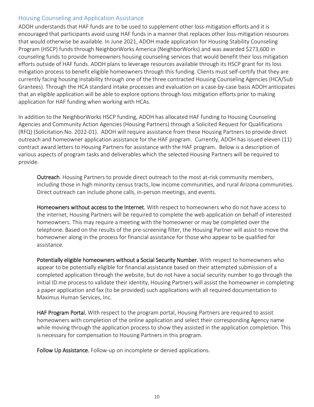## Housing Counseling and Application Assistance

ADOH understands that HAF funds are to be used to supplement other loss-mitigation efforts and it is encouraged that participants avoid using HAF funds in a manner that replaces other loss-mitigation resources that would otherwise be available. In June 2021, ADOH made application for Housing Stability Counseling Program (HSCP) funds through NeighborWorks America (NeighborWorks) and was awarded \$273,600 in counseling funds to provide homeowners housing counseling services that would benefit their loss mitigation efforts outside of HAF funds. ADOH plans to leverage resources available through its HSCP grant for its loss mitigation process to benefit eligible homeowners through this funding. Clients must self‐certify that they are currently facing housing instability through one of the three contracted Housing Counseling Agencies (HCA/Sub Grantees). Through the HCA standard intake processes and evaluation on a case‐by‐case basis ADOH anticipates that an eligible application will be able to explore options through loss mitigation efforts prior to making application for HAF funding when working with HCAs.

In addition to the NeighborWorks HSCP funding, ADOH has allocated HAF funding to Housing Counseling Agencies and Community Action Agencies (Housing Partners) through a Solicited Request for Qualifications (RFQ) (Solicitation No. 2022‐01). ADOH will require assistance from these Housing Partners to provide direct outreach and homeowner application assistance for the HAF program. Currently, ADOH has issued eleven (11) contract award letters to Housing Partners for assistance with the HAF program. Below is a description of various aspects of program tasks and deliverables which the selected Housing Partners will be required to provide.

Outreach. Housing Partners to provide direct outreach to the most at-risk community members, including those in high minority census tracts, low income communities, and rural Arizona communities. Direct outreach can include phone calls, in‐person meetings, and events.

Homeowners without access to the Internet. With respect to homeowners who do not have access to the internet, Housing Partners will be required to complete the web application on behalf of interested homeowners. This may require a meeting with the homeowner or may be completed over the telephone. Based on the results of the pre‐screening filter, the Housing Partner will assist to move the homeowner along in the process for financial assistance for those who appear to be qualified for assistance.

Potentially eligible homeowners without a Social Security Number. With respect to homeowners who appear to be potentially eligible for financial assistance based on their attempted submission of a completed application through the website, but do not have a social security number to go through the initial ID.me process to validate their identity, Housing Partners will assist the homeowner in completing a paper application and fax (to be provided) such applications with all required documentation to Maximus Human Services, Inc.

HAF Program Portal. With respect to the program portal, Housing Partners are required to assist homeowners with completion of the online application and select their corresponding Agency name while moving through the application process to show they assisted in the application completion. This is necessary for compensation to Housing Partners in this program.

Follow Up Assistance. Follow-up on incomplete or denied applications.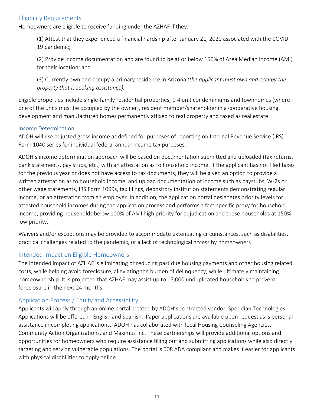### Eligibility Requirements

Homeowners are eligible to receive funding under the AZHAF if they:

(1) Attest that they experienced a financial hardship after January 21, 2020 associated with the COVID‐ 19 pandemic;

(2) Provide income documentation and are found to be at or below 150% of Area Median Income (AMI) for their location; and

(3) Currently own and occupy a primary residence in Arizona *(the applicant must own and occupy the property that is seeking assistance).*

Eligible properties include single‐family residential properties, 1‐4 unit condominiums and townhomes (where one of the units must be occupied by the owner), resident member/shareholder in a cooperative housing development and manufactured homes permanently affixed to real property and taxed as real estate.

#### Income Determination

ADOH will use adjusted gross income as defined for purposes of reporting on Internal Revenue Service (IRS) Form 1040 series for individual federal annual income tax purposes.

ADOH's income determination approach will be based on documentation submitted and uploaded (tax returns, bank statements, pay stubs, etc.) with an attestation as to household income. If the applicant has not filed taxes for the previous year or does not have access to tax documents, they will be given an option to provide a written attestation as to household income, and upload documentation of income such as paystubs, W‐2s or other wage statements, IRS Form 1099s, tax filings, depository institution statements demonstrating regular income, or an attestation from an employer. In addition, the application portal designates priority levels for attested household incomes during the application process and performs a fact‐specific proxy for household income, providing households below 100% of AMI high priority for adjudication and those households at 150% low priority.

Waivers and/or exceptions may be provided to accommodate extenuating circumstances, such as disabilities, practical challenges related to the pandemic, or a lack of technological access by homeowners.

### Intended Impact on Eligible Homeowners

The intended impact of AZHAF is eliminating or reducing past due housing payments and other housing related costs, while helping avoid foreclosure, alleviating the burden of delinquency, while ultimately maintaining homeownership. It is projected that AZHAF may assist up to 15,000 unduplicated households to prevent foreclosure in the next 24 months.

# Application Process / Equity and Accessibility

Applicants will apply through an online portal created by ADOH's contracted vendor, Speridian Technologies. Applications will be offered in English and Spanish. Paper applications are available upon request as is personal assistance in completing applications. ADOH has collaborated with local Housing Counseling Agencies, Community Action Organizations, and Maximus Inc. These partnerships will provide additional options and opportunities for homeowners who require assistance filling out and submitting applications while also directly targeting and serving vulnerable populations. The portal is 508 ADA compliant and makes it easier for applicants with physical disabilities to apply online.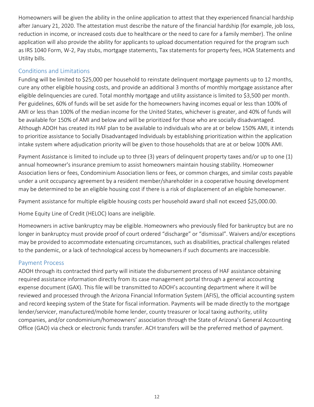Homeowners will be given the ability in the online application to attest that they experienced financial hardship after January 21, 2020. The attestation must describe the nature of the financial hardship (for example, job loss, reduction in income, or increased costs due to healthcare or the need to care for a family member). The online application will also provide the ability for applicants to upload documentation required for the program such as IRS 1040 Form, W‐2, Pay stubs, mortgage statements, Tax statements for property fees, HOA Statements and Utility bills.

# Conditions and Limitations

Funding will be limited to \$25,000 per household to reinstate delinquent mortgage payments up to 12 months, cure any other eligible housing costs, and provide an additional 3 months of monthly mortgage assistance after eligible delinquencies are cured. Total monthly mortgage and utility assistance is limited to \$3,500 per month. Per guidelines, 60% of funds will be set aside for the homeowners having incomes equal or less than 100% of AMI or less than 100% of the median income for the United States, whichever is greater, and 40% of funds will be available for 150% of AMI and below and will be prioritized for those who are socially disadvantaged. Although ADOH has created its HAF plan to be available to individuals who are at or below 150% AMI, it intends to prioritize assistance to Socially Disadvantaged Individuals by establishing prioritization within the application intake system where adjudication priority will be given to those households that are at or below 100% AMI.

Payment Assistance is limited to include up to three (3) years of delinquent property taxes and/or up to one (1) annual homeowner's insurance premium to assist homeowners maintain housing stability. Homeowner Association liens or fees, Condominium Association liens or fees, or common charges, and similar costs payable under a unit occupancy agreement by a resident member/shareholder in a cooperative housing development may be determined to be an eligible housing cost if there is a risk of displacement of an eligible homeowner.

Payment assistance for multiple eligible housing costs per household award shall not exceed \$25,000.00.

Home Equity Line of Credit (HELOC) loans are ineligible.

Homeowners in active bankruptcy may be eligible. Homeowners who previously filed for bankruptcy but are no longer in bankruptcy must provide proof of court ordered "discharge" or "dismissal". Waivers and/or exceptions may be provided to accommodate extenuating circumstances, such as disabilities, practical challenges related to the pandemic, or a lack of technological access by homeowners if such documents are inaccessible.

# Payment Process

ADOH through its contracted third party will initiate the disbursement process of HAF assistance obtaining required assistance information directly from its case management portal through a general accounting expense document (GAX). This file will be transmitted to ADOH's accounting department where it will be reviewed and processed through the Arizona Financial Information System (AFIS), the official accounting system and record keeping system of the State for fiscal information. Payments will be made directly to the mortgage lender/servicer, manufactured/mobile home lender, county treasurer or local taxing authority, utility companies, and/or condominium/homeowners' association through the State of Arizona's General Accounting Office (GAO) via check or electronic funds transfer. ACH transfers will be the preferred method of payment.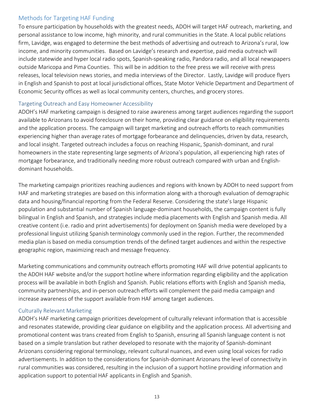### Methods for Targeting HAF Funding

To ensure participation by households with the greatest needs, ADOH will target HAF outreach, marketing, and personal assistance to low income, high minority, and rural communities in the State. A local public relations firm, Lavidge, was engaged to determine the best methods of advertising and outreach to Arizona's rural, low income, and minority communities. Based on Lavidge's research and expertise, paid media outreach will include statewide and hyper local radio spots, Spanish‐speaking radio, Pandora radio, and all local newspapers outside Maricopa and Pima Counties. This will be in addition to the free press we will receive with press releases, local television news stories, and media interviews of the Director. Lastly, Lavidge will produce flyers in English and Spanish to post at local jurisdictional offices, State Motor Vehicle Department and Department of Economic Security offices as well as local community centers, churches, and grocery stores.

### Targeting Outreach and Easy Homeowner Accessibility

ADOH's HAF marketing campaign is designed to raise awareness among target audiences regarding the support available to Arizonans to avoid foreclosure on their home, providing clear guidance on eligibility requirements and the application process. The campaign will target marketing and outreach efforts to reach communities experiencing higher than average rates of mortgage forbearance and delinquencies, driven by data, research, and local insight. Targeted outreach includes a focus on reaching Hispanic, Spanish‐dominant, and rural homeowners in the state representing large segments of Arizona's population, all experiencing high rates of mortgage forbearance, and traditionally needing more robust outreach compared with urban and English‐ dominant households.

The marketing campaign prioritizes reaching audiences and regions with known by ADOH to need support from HAF and marketing strategies are based on this information along with a thorough evaluation of demographic data and housing/financial reporting from the Federal Reserve. Considering the state's large Hispanic population and substantial number of Spanish language‐dominant households, the campaign content is fully bilingual in English and Spanish, and strategies include media placements with English and Spanish media. All creative content (i.e. radio and print advertisements) for deployment on Spanish media were developed by a professional linguist utilizing Spanish terminology commonly used in the region. Further, the recommended media plan is based on media consumption trends of the defined target audiences and within the respective geographic region, maximizing reach and message frequency.

Marketing communications and community outreach efforts promoting HAF will drive potential applicants to the ADOH HAF website and/or the support hotline where information regarding eligibility and the application process will be available in both English and Spanish. Public relations efforts with English and Spanish media, community partnerships, and in‐person outreach efforts will complement the paid media campaign and increase awareness of the support available from HAF among target audiences.

### Culturally Relevant Marketing

ADOH's HAF marketing campaign prioritizes development of culturally relevant information that is accessible and resonates statewide, providing clear guidance on eligibility and the application process. All advertising and promotional content was trans created from English to Spanish, ensuring all Spanish language content is not based on a simple translation but rather developed to resonate with the majority of Spanish‐dominant Arizonans considering regional terminology, relevant cultural nuances, and even using local voices for radio advertisements. In addition to the considerations for Spanish‐dominant Arizonans the level of connectivity in rural communities was considered, resulting in the inclusion of a support hotline providing information and application support to potential HAF applicants in English and Spanish.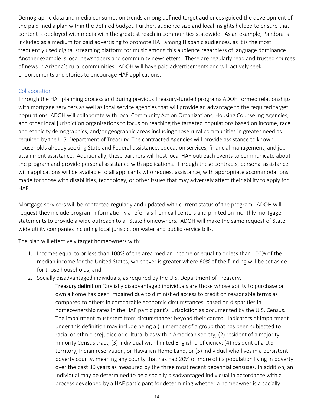Demographic data and media consumption trends among defined target audiences guided the development of the paid media plan within the defined budget. Further, audience size and local insights helped to ensure that content is deployed with media with the greatest reach in communities statewide. As an example, Pandora is included as a medium for paid advertising to promote HAF among Hispanic audiences, as it is the most frequently used digital streaming platform for music among this audience regardless of language dominance. Another example is local newspapers and community newsletters. These are regularly read and trusted sources of news in Arizona's rural communities. ADOH will have paid advertisements and will actively seek endorsements and stories to encourage HAF applications.

#### **Collaboration**

Through the HAF planning process and during previous Treasury‐funded programs ADOH formed relationships with mortgage servicers as well as local service agencies that will provide an advantage to the required target populations. ADOH will collaborate with local Community Action Organizations, Housing Counseling Agencies, and other local jurisdiction organizations to focus on reaching the targeted populations based on income, race and ethnicity demographics, and/or geographic areas including those rural communities in greater need as required by the U.S. Department of Treasury. The contracted Agencies will provide assistance to known households already seeking State and Federal assistance, education services, financial management, and job attainment assistance. Additionally, these partners will host local HAF outreach events to communicate about the program and provide personal assistance with applications. Through these contracts, personal assistance with applications will be available to all applicants who request assistance, with appropriate accommodations made for those with disabilities, technology, or other issues that may adversely affect their ability to apply for HAF.

Mortgage servicers will be contacted regularly and updated with current status of the program. ADOH will request they include program information via referrals from call centers and printed on monthly mortgage statements to provide a wide outreach to all State homeowners. ADOH will make the same request of State wide utility companies including local jurisdiction water and public service bills.

The plan will effectively target homeowners with:

- 1. Incomes equal to or less than 100% of the area median income or equal to or less than 100% of the median income for the United States, whichever is greater where 60% of the funding will be set aside for those households; and
- 2. Socially disadvantaged individuals, as required by the U.S. Department of Treasury.
	- Treasury definition "Socially disadvantaged individuals are those whose ability to purchase or own a home has been impaired due to diminished access to credit on reasonable terms as compared to others in comparable economic circumstances, based on disparities in homeownership rates in the HAF participant's jurisdiction as documented by the U.S. Census. The impairment must stem from circumstances beyond their control. Indicators of impairment under this definition may include being a (1) member of a group that has been subjected to racial or ethnic prejudice or cultural bias within American society, (2) resident of a majority‐ minority Census tract; (3) individual with limited English proficiency; (4) resident of a U.S. territory, Indian reservation, or Hawaiian Home Land, or (5) individual who lives in a persistent‐ poverty county, meaning any county that has had 20% or more of its population living in poverty over the past 30 years as measured by the three most recent decennial censuses. In addition, an individual may be determined to be a socially disadvantaged individual in accordance with a process developed by a HAF participant for determining whether a homeowner is a socially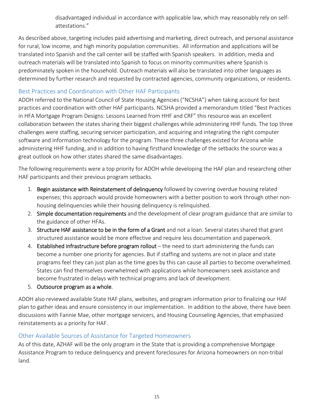disadvantaged individual in accordance with applicable law, which may reasonably rely on self‐ attestations."

As described above, targeting includes paid advertising and marketing, direct outreach, and personal assistance for rural, low income, and high minority population communities. All information and applications will be translated into Spanish and the call center will be staffed with Spanish speakers. In addition, media and outreach materials will be translated into Spanish to focus on minority communities where Spanish is predominately spoken in the household. Outreach materials will also be translated into other languages as determined by further research and requested by contracted agencies, community organizations, or residents.

# Best Practices and Coordination with Other HAF Participants

ADOH referred to the National Council of State Housing Agencies ("NCSHA") when taking account for best practices and coordination with other HAF participants. NCSHA provided a memorandum titled "Best Practices in HFA Mortgage Program Designs: Lessons Learned from HHF and CRF" this resource was an excellent collaboration between the states sharing their biggest challenges while administering HHF funds. The top three challenges were staffing, securing servicer participation, and acquiring and integrating the right computer software and information technology for the program. These three challenges existed for Arizona while administering HHF funding, and in addition to having firsthand knowledge of the setbacks the source was a great outlook on how other states shared the same disadvantages.

The following requirements were a top priority for ADOH while developing the HAF plan and researching other HAF participants and their previous program setbacks.

- 1. Begin assistance with Reinstatement of delinquency followed by covering overdue housing related expenses; this approach would provide homeowners with a better position to work through other non‐ housing delinquencies while their housing delinquency is relinquished.
- 2. Simple documentation requirements and the development of clear program guidance that are similar to the guidance of other HFAs.
- 3. Structure HAF assistance to be in the form of a Grant and not a loan. Several states shared that grant structured assistance would be more effective and require less documentation and paperwork.
- 4. Established infrastructure before program rollout  $-$  the need to start administering the funds can become a number one priority for agencies. But if staffing and systems are not in place and state programs feel they can just plan as the time goes by this can cause all parties to become overwhelmed. States can find themselves overwhelmed with applications while homeowners seek assistance and become frustrated in delays with technical programs and lack of development.
- 5. Outsource program as a whole.

ADOH also reviewed available State HAF plans, websites, and program information prior to finalizing our HAF plan to gather ideas and ensure consistency in our implementation. In addition to the above, there have been discussions with Fannie Mae, other mortgage servicers, and Housing Counseling Agencies, that emphasized reinstatements as a priority for HAF.

# Other Available Sources of Assistance for Targeted Homeowners

As of this date, AZHAF will be the only program in the State that is providing a comprehensive Mortgage Assistance Program to reduce delinquency and prevent foreclosures for Arizona homeowners on non‐tribal land.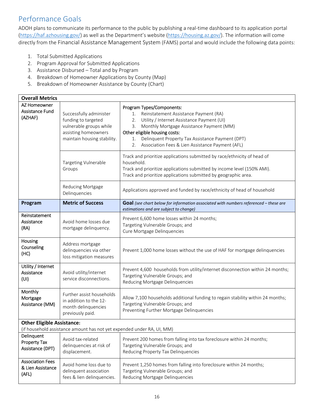# Performance Goals

ADOH plans to communicate its performance to the public by publishing a real-time dashboard to its application portal (https://haf.azhousing.gov/) as well as the Department's website (https://housing.az.gov/). The information will come directly from the Financial Assistance Management System (FAMS) portal and would include the following data points:

- 1. Total Submitted Applications
- 2. Program Approval for Submitted Applications
- 3. Assistance Disbursed Total and by Program
- 4. Breakdown of Homeowner Applications by County (Map)
- 5. Breakdown of Homeowner Assistance by County (Chart)

| <b>Overall Metrics</b>                                |                                                                                                                                  |                                                                                                                                                                                                                                                                                                                                     |
|-------------------------------------------------------|----------------------------------------------------------------------------------------------------------------------------------|-------------------------------------------------------------------------------------------------------------------------------------------------------------------------------------------------------------------------------------------------------------------------------------------------------------------------------------|
| AZ Homeowner<br>Assistance Fund<br>(AZHAF)            | Successfully administer<br>funding to targeted<br>vulnerable groups while<br>assisting homeowners<br>maintain housing stability. | Program Types/Components:<br>Reinstatement Assistance Payment (RA)<br>1.<br>Utility / Internet Assistance Payment (UI)<br>2.<br>Monthly Mortgage Assistance Payment (MM)<br>3.<br>Other eligible housing costs:<br>Delinquent Property Tax Assistance Payment (DPT)<br>1.<br>Association Fees & Lien Assistance Payment (AFL)<br>2. |
|                                                       | <b>Targeting Vulnerable</b><br>Groups                                                                                            | Track and prioritize applications submitted by race/ethnicity of head of<br>household.<br>Track and prioritize applications submitted by income level (150% AMI).<br>Track and prioritize applications submitted by geographic area.                                                                                                |
|                                                       | Reducing Mortgage<br>Delinquencies                                                                                               | Applications approved and funded by race/ethnicity of head of household                                                                                                                                                                                                                                                             |
| Program                                               | <b>Metric of Success</b>                                                                                                         | Goal (see chart below for information associated with numbers referenced - these are<br>estimations and are subject to change)                                                                                                                                                                                                      |
| Reinstatement<br>Assistance<br>(RA)                   | Avoid home losses due<br>mortgage delinquency.                                                                                   | Prevent 6,600 home losses within 24 months;<br>Targeting Vulnerable Groups; and<br>Cure Mortgage Delinquencies                                                                                                                                                                                                                      |
| Housing<br>Counseling<br>(HC)                         | Address mortgage<br>delinquencies via other<br>loss mitigation measures                                                          | Prevent 1,000 home losses without the use of HAF for mortgage delinquencies                                                                                                                                                                                                                                                         |
| Utility / Internet<br>Assistance<br>(UI)              | Avoid utility/internet<br>service disconnections.                                                                                | Prevent 4,600 households from utility/internet disconnection within 24 months;<br>Targeting Vulnerable Groups; and<br>Reducing Mortgage Delinquencies                                                                                                                                                                               |
| Monthly<br>Mortgage<br>Assistance (MM)                | Further assist households<br>in addition to the 12-<br>month delinquencies<br>previously paid.                                   | Allow 7,100 households additional funding to regain stability within 24 months;<br>Targeting Vulnerable Groups; and<br>Preventing Further Mortgage Delinquencies                                                                                                                                                                    |
| <b>Other Eligible Assistance:</b>                     | (if household assistance amount has not yet expended under RA, UI, MM)                                                           |                                                                                                                                                                                                                                                                                                                                     |
| Delinquent<br>Property Tax<br>Assistance (DPT)        | Avoid tax-related<br>delinquencies at risk of<br>displacement.                                                                   | Prevent 200 homes from falling into tax foreclosure within 24 months;<br>Targeting Vulnerable Groups; and<br>Reducing Property Tax Delinquencies                                                                                                                                                                                    |
| <b>Association Fees</b><br>& Lien Assistance<br>(AFL) | Avoid home loss due to<br>delinquent association<br>fees & lien delinquencies.                                                   | Prevent 1,250 homes from falling into foreclosure within 24 months;<br>Targeting Vulnerable Groups; and<br>Reducing Mortgage Delinquencies                                                                                                                                                                                          |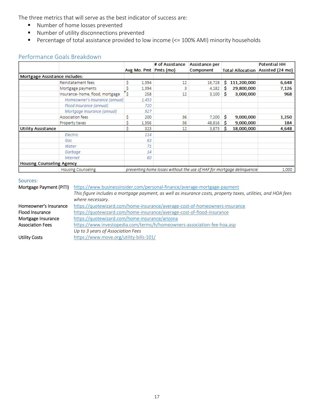The three metrics that will serve as the best indicator of success are:

- **Number of home losses prevented**
- Number of utility disconnections prevented
- Percentage of total assistance provided to low income (<= 100% AMI) minority households

# Performance Goals Breakdown

|                                  |                                 |   |       | # of Assistance                                                         | Assistance per |    |             | <b>Potential HH</b>               |
|----------------------------------|---------------------------------|---|-------|-------------------------------------------------------------------------|----------------|----|-------------|-----------------------------------|
|                                  |                                 |   |       | Avg Mo. Pmt Pmts (mo)                                                   | Component      |    |             | Total Allocation Assisted (24 mo) |
| Mortgage Assistance includes:    |                                 |   |       |                                                                         |                |    |             |                                   |
|                                  | Reinstatement fees              |   | 1,394 | 12                                                                      | 16,728         | s  | 111,200,000 | 6,648                             |
|                                  | Mortgage payments               |   | 1,394 | 3                                                                       | 4,182          | s  | 29,800,000  | 7,126                             |
|                                  | Insurance-home, flood, mortgage | Ŝ | 258   | 12                                                                      | 3,100          | -Ŝ | 3,000,000   | 968                               |
|                                  | Homeowner's Insurance (annual)  |   | 1,453 |                                                                         |                |    |             |                                   |
|                                  | Flood Insurance (annual)        |   | 720   |                                                                         |                |    |             |                                   |
|                                  | Mortgage Insurance (annual)     |   | 927   |                                                                         |                |    |             |                                   |
|                                  | Association fees                |   | 200   | 36                                                                      | 7,200          | Ŝ  | 9,000,000   | 1,250                             |
|                                  | Property taxes                  |   | 1.356 | 36                                                                      | 48,816         | s  | 9,000,000   | 184                               |
| <b>Utility Assistance</b>        |                                 |   | 323   | 12                                                                      | 3,873          | Ŝ  | 18,000,000  | 4,648                             |
|                                  | Electric                        |   | 114   |                                                                         |                |    |             |                                   |
|                                  | Gas                             |   | 63    |                                                                         |                |    |             |                                   |
|                                  | Water                           |   | 71    |                                                                         |                |    |             |                                   |
|                                  | Garbage                         |   | 14    |                                                                         |                |    |             |                                   |
|                                  | Internet                        |   | 60    |                                                                         |                |    |             |                                   |
| <b>Housing Counseling Agency</b> |                                 |   |       |                                                                         |                |    |             |                                   |
| <b>Housing Counseling</b>        |                                 |   |       | preventing home losses without the use of HAF for mortgage delinquencie |                |    |             | 1,000                             |

#### Sources:

| Mortgage Payment (PITI) | https://www.businessinsider.com/personal-finance/average-mortgage-payment                                    |
|-------------------------|--------------------------------------------------------------------------------------------------------------|
|                         | This figure includes a mortgage payment, as well as insurance costs, property taxes, utilities, and HOA fees |
|                         | where necessary.                                                                                             |
| Homeowner's Insurance   | https://quotewizard.com/home-insurance/average-cost-of-homeowners-insurance                                  |
| Flood Insurance         | https://quotewizard.com/home-insurance/average-cost-of-flood-insurance                                       |
| Mortgage Insurance      | https://quotewizard.com/home-insurance/arizona                                                               |
| <b>Association Fees</b> | https://www.investopedia.com/terms/h/homeowners-association-fee-hoa.asp                                      |
|                         | Up to 3 years of Association Fees                                                                            |
| <b>Utility Costs</b>    | https://www.move.org/utility-bills-101/                                                                      |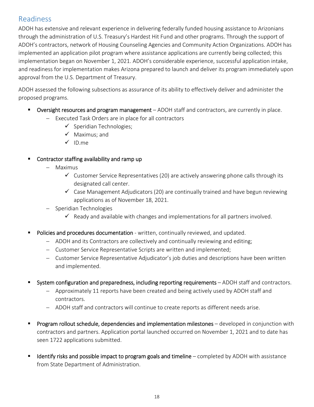# Readiness

ADOH has extensive and relevant experience in delivering federally funded housing assistance to Arizonians through the administration of U.S. Treasury's Hardest Hit Fund and other programs. Through the support of ADOH's contractors, network of Housing Counseling Agencies and Community Action Organizations. ADOH has implemented an application pilot program where assistance applications are currently being collected; this implementation began on November 1, 2021. ADOH's considerable experience, successful application intake, and readiness for implementation makes Arizona prepared to launch and deliver its program immediately upon approval from the U.S. Department of Treasury.

ADOH assessed the following subsections as assurance of its ability to effectively deliver and administer the proposed programs.

- **Dversight resources and program management** ADOH staff and contractors, are currently in place.
	- Executed Task Orders are in place for all contractors
		- $\checkmark$  Speridian Technologies;
		- $\checkmark$  Maximus; and
		- $\checkmark$  ID.me
- Contractor staffing availability and ramp up
	- Maximus
		- $\checkmark$  Customer Service Representatives (20) are actively answering phone calls through its designated call center.
		- $\checkmark$  Case Management Adjudicators (20) are continually trained and have begun reviewing applications as of November 18, 2021.
	- Speridian Technologies
		- $\checkmark$  Ready and available with changes and implementations for all partners involved.
- Policies and procedures documentation written, continually reviewed, and updated.
	- ADOH and its Contractors are collectively and continually reviewing and editing;
	- Customer Service Representative Scripts are written and implemented;
	- Customer Service Representative Adjudicator's job duties and descriptions have been written and implemented.
- System configuration and preparedness, including reporting requirements ADOH staff and contractors.
	- Approximately 11 reports have been created and being actively used by ADOH staff and contractors.
	- ADOH staff and contractors will continue to create reports as different needs arise.
- Program rollout schedule, dependencies and implementation milestones developed in conjunction with contractors and partners. Application portal launched occurred on November 1, 2021 and to date has seen 1722 applications submitted.
- $\blacksquare$  Identify risks and possible impact to program goals and timeline completed by ADOH with assistance from State Department of Administration.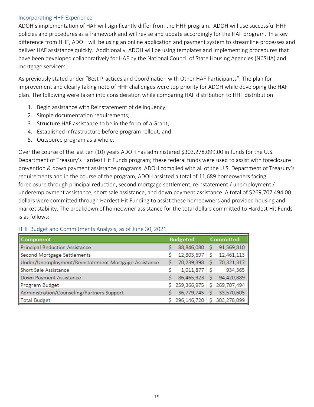#### Incorporating HHF Experience

ADOH's implementation of HAF will significantly differ from the HHF program. ADOH will use successful HHF policies and procedures as a framework and will revise and update accordingly for the HAF program. In a key difference from HHF, ADOH will be using an online application and payment system to streamline processes and deliver HAF assistance quickly. Additionally, ADOH will be using templates and implementing procedures that have been developed collaboratively for HAF by the National Council of State Housing Agencies (NCSHA) and mortgage servicers.

As previously stated under "Best Practices and Coordination with Other HAF Participants". The plan for improvement and clearly taking note of HHF challenges were top priority for ADOH while developing the HAF plan. The following were taken into consideration while comparing HAF distribution to HHF distribution.

- 1. Begin assistance with Reinstatement of delinquency;
- 2. Simple documentation requirements;
- 3. Structure HAF assistance to be in the form of a Grant;
- 4. Established infrastructure before program rollout; and
- 5. Outsource program as a whole.

Over the course of the last ten (10) years ADOH has administered \$303,278,099.00 in funds for the U.S. Department of Treasury's Hardest Hit Funds program; these federal funds were used to assist with foreclosure prevention & down payment assistance programs. ADOH complied with all of the U.S. Department of Treasury's requirements and in the course of the program, ADOH assisted a total of 11,689 homeowners facing foreclosure through principal reduction, second mortgage settlement, reinstatement / unemployment / underemployment assistance, short sale assistance, and down payment assistance. A total of \$269,707,494.00 dollars were committed through Hardest Hit Funding to assist these homeowners and provided housing and market stability. The breakdown of homeowner assistance for the total dollars committed to Hardest Hit Funds is as follows:

| <b>Component</b>                                     |   | <b>Budgeted</b> |   | <b>Committed</b> |
|------------------------------------------------------|---|-----------------|---|------------------|
| <b>Principal Reduction Assistance</b>                |   | 88,846,080      |   | 91,569,810       |
| Second Mortgage Settlements                          |   | 12,803,697      |   | 12,461,113       |
| Under/Unemployment/Reinstatement Mortgage Assistance |   | 70,239,398      |   | 70,321,317       |
| Short Sale Assistance                                |   | 1,011,877       |   | 934,365          |
| Down Payment Assistance                              |   | 86,465,923      |   | 94,420,889       |
| Program Budget                                       |   | \$259,366,975   | S | 269,707,494      |
| Administration/Counseling/Partners Support           |   | 36,779,745      |   | 33,570,605       |
| Total Budget                                         | ς | 296,146,720     |   | 303,278,099      |

#### HHF Budget and Commitments Analysis, as of June 30, 2021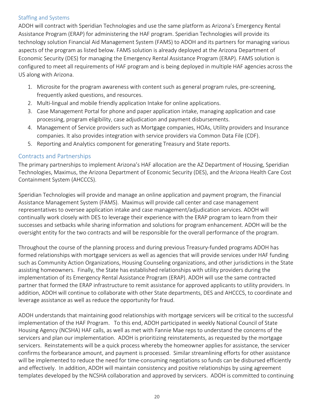#### Staffing and Systems

ADOH will contract with Speridian Technologies and use the same platform as Arizona's Emergency Rental Assistance Program (ERAP) for administering the HAF program. Speridian Technologies will provide its technology solution Financial Aid Management System (FAMS) to ADOH and its partners for managing various aspects of the program as listed below. FAMS solution is already deployed at the Arizona Department of Economic Security (DES) for managing the Emergency Rental Assistance Program (ERAP). FAMS solution is configured to meet all requirements of HAF program and is being deployed in multiple HAF agencies across the US along with Arizona.

- 1. Microsite for the program awareness with content such as general program rules, pre‐screening, frequently asked questions, and resources.
- 2. Multi-lingual and mobile friendly application Intake for online applications.
- 3. Case Management Portal for phone and paper application intake, managing application and case processing, program eligibility, case adjudication and payment disbursements.
- 4. Management of Service providers such as Mortgage companies, HOAs, Utility providers and Insurance companies. It also provides integration with service providers via Common Data File (CDF).
- 5. Reporting and Analytics component for generating Treasury and State reports.

### Contracts and Partnerships

The primary partnerships to implement Arizona's HAF allocation are the AZ Department of Housing, Speridian Technologies, Maximus, the Arizona Department of Economic Security (DES), and the Arizona Health Care Cost Containment System (AHCCCS).

Speridian Technologies will provide and manage an online application and payment program, the Financial Assistance Management System (FAMS). Maximus will provide call center and case management representatives to oversee application intake and case management/adjudication services. ADOH will continually work closely with DES to leverage their experience with the ERAP program to learn from their successes and setbacks while sharing information and solutions for program enhancement. ADOH will be the oversight entity for the two contracts and will be responsible for the overall performance of the program.

Throughout the course of the planning process and during previous Treasury‐funded programs ADOH has formed relationships with mortgage servicers as well as agencies that will provide services under HAF funding such as Community Action Organizations, Housing Counseling organizations, and other jurisdictions in the State assisting homeowners. Finally, the State has established relationships with utility providers during the implementation of its Emergency Rental Assistance Program (ERAP). ADOH will use the same contracted partner that formed the ERAP infrastructure to remit assistance for approved applicants to utility providers. In addition, ADOH will continue to collaborate with other State departments, DES and AHCCCS, to coordinate and leverage assistance as well as reduce the opportunity for fraud.

ADOH understands that maintaining good relationships with mortgage servicers will be critical to the successful implementation of the HAF Program. To this end, ADOH participated in weekly National Council of State Housing Agency (NCSHA) HAF calls, as well as met with Fannie Mae reps to understand the concerns of the servicers and plan our implementation. ADOH is prioritizing reinstatements, as requested by the mortgage servicers. Reinstatements will be a quick process whereby the homeowner applies for assistance, the servicer confirms the forbearance amount, and payment is processed. Similar streamlining efforts for other assistance will be implemented to reduce the need for time-consuming negotiations so funds can be disbursed efficiently and effectively. In addition, ADOH will maintain consistency and positive relationships by using agreement templates developed by the NCSHA collaboration and approved by servicers. ADOH is committed to continuing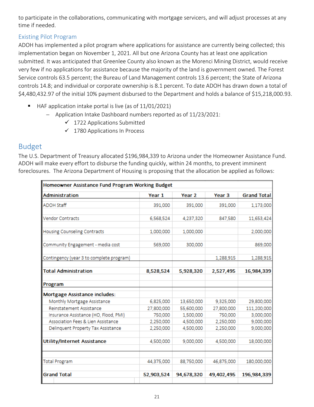to participate in the collaborations, communicating with mortgage servicers, and will adjust processes at any time if needed.

# Existing Pilot Program

ADOH has implemented a pilot program where applications for assistance are currently being collected; this implementation began on November 1, 2021. All but one Arizona County has at least one application submitted. It was anticipated that Greenlee County also known as the Morenci Mining District, would receive very few if no applications for assistance because the majority of the land is government owned. The Forest Service controls 63.5 percent; the Bureau of Land Management controls 13.6 percent; the State of Arizona controls 14.8; and individual or corporate ownership is 8.1 percent. To date ADOH has drawn down a total of \$4,480,432.97 of the initial 10% payment disbursed to the Department and holds a balance of \$15,218,000.93.

- HAF application intake portal is live (as of 11/01/2021)
	- Application Intake Dashboard numbers reported as of 11/23/2021:
		- $\checkmark$  1722 Applications Submitted
		- $\checkmark$  1780 Applications In Process

# Budget

The U.S. Department of Treasury allocated \$196,984,339 to Arizona under the Homeowner Assistance Fund. ADOH will make every effort to disburse the funding quickly, within 24 months, to prevent imminent foreclosures. The Arizona Department of Housing is proposing that the allocation be applied as follows:

| Homeowner Assistance Fund Program Working Budget |            |                   |                   |                    |
|--------------------------------------------------|------------|-------------------|-------------------|--------------------|
| Administration                                   | Year 1     | Year <sub>2</sub> | Year <sub>3</sub> | <b>Grand Total</b> |
| <b>ADOH Staff</b>                                | 391,000    | 391,000           | 391,000           | 1,173,000          |
| <b>Vendor Contracts</b>                          | 6,568,524  | 4,237,320         | 847,580           | 11,653,424         |
| Housing Counseling Contracts                     | 1,000,000  | 1,000,000         |                   | 2,000,000          |
| Community Engagement - media cost                | 569,000    | 300,000           |                   | 869,000            |
| Contingency (year 3 to complete program)         |            |                   | 1,288,915         | 1,288,915          |
| <b>Total Administration</b>                      | 8,528,524  | 5,928,320         | 2,527,495         | 16,984,339         |
| Program                                          |            |                   |                   |                    |
| Mortgage Assistance includes:                    |            |                   |                   |                    |
| Monthly Mortgage Assistance                      | 6,825,000  | 13,650,000        | 9,325,000         | 29,800,000         |
| Reinstatement Assistance                         | 27,800,000 | 55,600,000        | 27,800,000        | 111,200,000        |
| Insurance Assistance (HO, Flood, PMI)            | 750,000    | 1,500,000         | 750,000           | 3,000,000          |
| Association Fees & Lien Assistance               | 2,250,000  | 4,500,000         | 2,250,000         | 9,000,000          |
| Delinquent Property Tax Assistance               | 2,250,000  | 4,500,000         | 2,250,000         | 9,000,000          |
| <b>Utility/Internet Assistance</b>               | 4,500,000  | 9,000,000         | 4,500,000         | 18,000,000         |
| <b>Total Program</b>                             | 44,375,000 | 88,750,000        | 46,875,000        | 180,000,000        |
| <b>Grand Total</b>                               | 52,903,524 | 94,678,320        | 49,402,495        | 196,984,339        |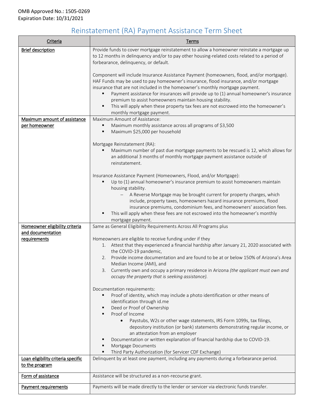# Reinstatement (RA) Payment Assistance Term Sheet

| Criteria                                             | Terms                                                                                                                                                                                                                                                                                                                                                                                                                                                                                                                                     |
|------------------------------------------------------|-------------------------------------------------------------------------------------------------------------------------------------------------------------------------------------------------------------------------------------------------------------------------------------------------------------------------------------------------------------------------------------------------------------------------------------------------------------------------------------------------------------------------------------------|
| <b>Brief description</b>                             | Provide funds to cover mortgage reinstatement to allow a homeowner reinstate a mortgage up<br>to 12 months in delinquency and/or to pay other housing-related costs related to a period of<br>forbearance, delinquency, or default.                                                                                                                                                                                                                                                                                                       |
|                                                      | Component will include Insurance Assistance Payment (homeowners, flood, and/or mortgage).<br>HAF Funds may be used to pay homeowner's insurance, flood insurance, and/or mortgage<br>insurance that are not included in the homeowner's monthly mortgage payment.<br>Payment assistance for insurances will provide up to (1) annual homeowner's insurance<br>premium to assist homeowners maintain housing stability.<br>This will apply when these property tax fees are not escrowed into the homeowner's<br>monthly mortgage payment. |
| Maximum amount of assistance                         | Maximum Amount of Assistance:                                                                                                                                                                                                                                                                                                                                                                                                                                                                                                             |
| <u>per homeowner</u>                                 | Maximum monthly assistance across all programs of \$3,500<br>Maximum \$25,000 per household<br>٠                                                                                                                                                                                                                                                                                                                                                                                                                                          |
|                                                      | Mortgage Reinstatement (RA):<br>Maximum number of past due mortgage payments to be rescued is 12, which allows for<br>an additional 3 months of monthly mortgage payment assistance outside of<br>reinstatement.                                                                                                                                                                                                                                                                                                                          |
|                                                      | Insurance Assistance Payment (Homeowners, Flood, and/or Mortgage):<br>Up to (1) annual homeowner's insurance premium to assist homeowners maintain<br>housing stability.<br>A Reverse Mortgage may be brought current for property charges, which<br>$ \,$<br>include, property taxes, homeowners hazard insurance premiums, flood                                                                                                                                                                                                        |
|                                                      | insurance premiums, condominium fees, and homeowners' association fees.<br>This will apply when these fees are not escrowed into the homeowner's monthly<br>mortgage payment.                                                                                                                                                                                                                                                                                                                                                             |
| Homeowner eligibility criteria<br>and documentation  | Same as General Eligibility Requirements Across All Programs plus                                                                                                                                                                                                                                                                                                                                                                                                                                                                         |
| requirements                                         | Homeowners are eligible to receive funding under if they                                                                                                                                                                                                                                                                                                                                                                                                                                                                                  |
|                                                      | 1. Attest that they experienced a financial hardship after January 21, 2020 associated with<br>the COVID-19 pandemic,                                                                                                                                                                                                                                                                                                                                                                                                                     |
|                                                      | Provide income documentation and are found to be at or below 150% of Arizona's Area<br>2.<br>Median Income (AMI), and                                                                                                                                                                                                                                                                                                                                                                                                                     |
|                                                      | 3. Currently own and occupy a primary residence in Arizona (the applicant must own and<br>occupy the property that is seeking assistance).                                                                                                                                                                                                                                                                                                                                                                                                |
|                                                      | Documentation requirements:<br>Proof of identity, which may include a photo identification or other means of<br>identification through id.me<br>Deed or Proof of Ownership<br>٠<br>Proof of Income                                                                                                                                                                                                                                                                                                                                        |
|                                                      | Paystubs, W2s or other wage statements, IRS Form 1099s, tax filings,<br>$\bullet$<br>depository institution (or bank) statements demonstrating regular income, or<br>an attestation from an employer<br>Documentation or written explanation of financial hardship due to COVID-19.<br>Mortgage Documents<br>Third Party Authorization (for Servicer CDF Exchange)                                                                                                                                                                        |
| Loan eligibility criteria specific<br>to the program | Delinquent by at least one payment, including any payments during a forbearance period.                                                                                                                                                                                                                                                                                                                                                                                                                                                   |
| Form of assistance                                   | Assistance will be structured as a non-recourse grant.                                                                                                                                                                                                                                                                                                                                                                                                                                                                                    |
| Payment requirements                                 | Payments will be made directly to the lender or servicer via electronic funds transfer.                                                                                                                                                                                                                                                                                                                                                                                                                                                   |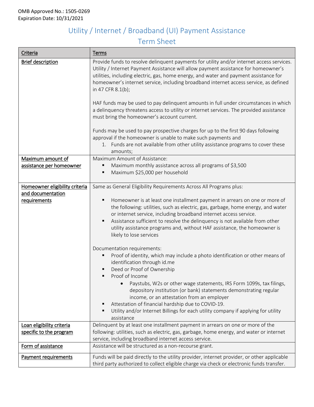# Utility / Internet / Broadband (UI) Payment Assistance Term Sheet

| Criteria                                      | Terms                                                                                                                                                                                                                                                                                                                                                                                                                                                                           |
|-----------------------------------------------|---------------------------------------------------------------------------------------------------------------------------------------------------------------------------------------------------------------------------------------------------------------------------------------------------------------------------------------------------------------------------------------------------------------------------------------------------------------------------------|
| <b>Brief description</b>                      | Provide funds to resolve delinquent payments for utility and/or internet access services.<br>Utility / Internet Payment Assistance will allow payment assistance for homeowner's<br>utilities, including electric, gas, home energy, and water and payment assistance for<br>homeowner's internet service, including broadband internet access service, as defined<br>in 47 CFR 8.1(b);<br>HAF funds may be used to pay delinquent amounts in full under circumstances in which |
|                                               | a delinquency threatens access to utility or internet services. The provided assistance<br>must bring the homeowner's account current.                                                                                                                                                                                                                                                                                                                                          |
|                                               | Funds may be used to pay prospective charges for up to the first 90 days following<br>approval if the homeowner is unable to make such payments and<br>1. Funds are not available from other utility assistance programs to cover these<br>amounts;                                                                                                                                                                                                                             |
| Maximum amount of<br>assistance per homeowner | Maximum Amount of Assistance:<br>Maximum monthly assistance across all programs of \$3,500<br>Maximum \$25,000 per household                                                                                                                                                                                                                                                                                                                                                    |
| Homeowner eligibility criteria                | Same as General Eligibility Requirements Across All Programs plus:                                                                                                                                                                                                                                                                                                                                                                                                              |
| and documentation<br>requirements             | Homeowner is at least one installment payment in arrears on one or more of<br>п                                                                                                                                                                                                                                                                                                                                                                                                 |
|                                               | the following: utilities, such as electric, gas, garbage, home energy, and water                                                                                                                                                                                                                                                                                                                                                                                                |
|                                               | or internet service, including broadband internet access service.                                                                                                                                                                                                                                                                                                                                                                                                               |
|                                               | Assistance sufficient to resolve the delinquency is not available from other<br>utility assistance programs and, without HAF assistance, the homeowner is<br>likely to lose services                                                                                                                                                                                                                                                                                            |
|                                               | Documentation requirements:                                                                                                                                                                                                                                                                                                                                                                                                                                                     |
|                                               | Proof of identity, which may include a photo identification or other means of<br>identification through id.me<br>Deed or Proof of Ownership<br>Proof of Income                                                                                                                                                                                                                                                                                                                  |
|                                               | Paystubs, W2s or other wage statements, IRS Form 1099s, tax filings,<br>depository institution (or bank) statements demonstrating regular<br>income, or an attestation from an employer                                                                                                                                                                                                                                                                                         |
|                                               | Attestation of financial hardship due to COVID-19.<br>Utility and/or Internet Billings for each utility company if applying for utility<br>assistance                                                                                                                                                                                                                                                                                                                           |
| Loan eligibility criteria                     | Delinquent by at least one installment payment in arrears on one or more of the                                                                                                                                                                                                                                                                                                                                                                                                 |
| specific to the program                       | following: utilities, such as electric, gas, garbage, home energy, and water or internet<br>service, including broadband internet access service.                                                                                                                                                                                                                                                                                                                               |
| Form of assistance                            | Assistance will be structured as a non-recourse grant.                                                                                                                                                                                                                                                                                                                                                                                                                          |
| Payment requirements                          | Funds will be paid directly to the utility provider, internet provider, or other applicable                                                                                                                                                                                                                                                                                                                                                                                     |
|                                               | third party authorized to collect eligible charge via check or electronic funds transfer.                                                                                                                                                                                                                                                                                                                                                                                       |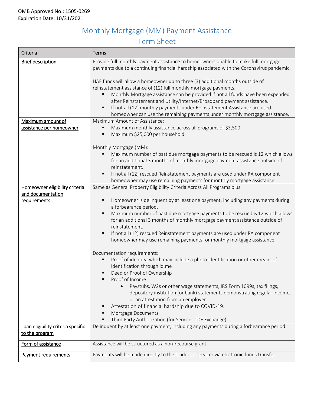# Monthly Mortgage (MM) Payment Assistance Term Sheet

| Criteria                                             | Terms                                                                                                                                                                                                                                                                                                                                                                                                                                                                                                                         |
|------------------------------------------------------|-------------------------------------------------------------------------------------------------------------------------------------------------------------------------------------------------------------------------------------------------------------------------------------------------------------------------------------------------------------------------------------------------------------------------------------------------------------------------------------------------------------------------------|
| <b>Brief description</b>                             | Provide full monthly payment assistance to homeowners unable to make full mortgage<br>payments due to a continuing financial hardship associated with the Coronavirus pandemic.                                                                                                                                                                                                                                                                                                                                               |
|                                                      | HAF funds will allow a homeowner up to three (3) additional months outside of<br>reinstatement assistance of (12) full monthly mortgage payments.<br>Monthly Mortgage assistance can be provided if not all funds have been expended<br>after Reinstatement and Utility/Internet/Broadband payment assistance.<br>If not all (12) monthly payments under Reinstatement Assistance are used<br>homeowner can use the remaining payments under monthly mortgage assistance.                                                     |
| Maximum amount of                                    | Maximum Amount of Assistance:                                                                                                                                                                                                                                                                                                                                                                                                                                                                                                 |
| assistance per homeowner                             | Maximum monthly assistance across all programs of \$3,500<br>Maximum \$25,000 per household                                                                                                                                                                                                                                                                                                                                                                                                                                   |
|                                                      | Monthly Mortgage (MM):<br>Maximum number of past due mortgage payments to be rescued is 12 which allows<br>for an additional 3 months of monthly mortgage payment assistance outside of<br>reinstatement.<br>If not all (12) rescued Reinstatement payments are used under RA component<br>homeowner may use remaining payments for monthly mortgage assistance.                                                                                                                                                              |
| Homeowner eligibility criteria                       | Same as General Property Eligibility Criteria Across All Programs plus                                                                                                                                                                                                                                                                                                                                                                                                                                                        |
| and documentation                                    |                                                                                                                                                                                                                                                                                                                                                                                                                                                                                                                               |
| requirements                                         | Homeowner is delinquent by at least one payment, including any payments during<br>a forbearance period.<br>Maximum number of past due mortgage payments to be rescued is 12 which allows<br>for an additional 3 months of monthly mortgage payment assistance outside of<br>reinstatement.<br>If not all (12) rescued Reinstatement payments are used under RA component<br>٠<br>homeowner may use remaining payments for monthly mortgage assistance.                                                                        |
|                                                      | Documentation requirements:<br>Proof of identity, which may include a photo identification or other means of<br>identification through id.me<br>Deed or Proof of Ownership<br>Proof of Income<br>Paystubs, W2s or other wage statements, IRS Form 1099s, tax filings,<br>depository institution (or bank) statements demonstrating regular income,<br>or an attestation from an employer<br>Attestation of financial hardship due to COVID-19.<br>Mortgage Documents<br>Third Party Authorization (for Servicer CDF Exchange) |
| Loan eligibility criteria specific<br>to the program | Delinquent by at least one payment, including any payments during a forbearance period.                                                                                                                                                                                                                                                                                                                                                                                                                                       |
| Form of assistance                                   | Assistance will be structured as a non-recourse grant.                                                                                                                                                                                                                                                                                                                                                                                                                                                                        |
| Payment requirements                                 | Payments will be made directly to the lender or servicer via electronic funds transfer.                                                                                                                                                                                                                                                                                                                                                                                                                                       |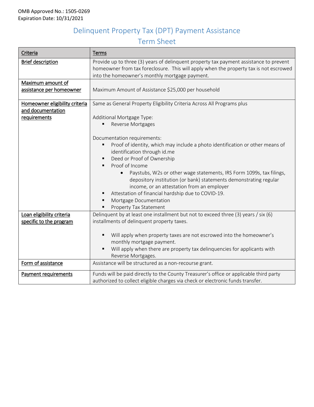# Delinquent Property Tax (DPT) Payment Assistance Term Sheet

| Criteria                       | Terms                                                                                                                                                  |  |  |  |  |
|--------------------------------|--------------------------------------------------------------------------------------------------------------------------------------------------------|--|--|--|--|
| <b>Brief description</b>       | Provide up to three (3) years of delinquent property tax payment assistance to prevent                                                                 |  |  |  |  |
|                                | homeowner from tax foreclosure. This will apply when the property tax is not escrowed                                                                  |  |  |  |  |
|                                | into the homeowner's monthly mortgage payment.                                                                                                         |  |  |  |  |
| Maximum amount of              |                                                                                                                                                        |  |  |  |  |
| assistance per homeowner       | Maximum Amount of Assistance \$25,000 per household                                                                                                    |  |  |  |  |
| Homeowner eligibility criteria | Same as General Property Eligibility Criteria Across All Programs plus                                                                                 |  |  |  |  |
| and documentation              |                                                                                                                                                        |  |  |  |  |
| requirements                   | Additional Mortgage Type:                                                                                                                              |  |  |  |  |
|                                | Reverse Mortgages                                                                                                                                      |  |  |  |  |
|                                |                                                                                                                                                        |  |  |  |  |
|                                | Documentation requirements:                                                                                                                            |  |  |  |  |
|                                | Proof of identity, which may include a photo identification or other means of                                                                          |  |  |  |  |
|                                | identification through id.me                                                                                                                           |  |  |  |  |
|                                | Deed or Proof of Ownership                                                                                                                             |  |  |  |  |
|                                | Proof of Income<br>٠                                                                                                                                   |  |  |  |  |
|                                | Paystubs, W2s or other wage statements, IRS Form 1099s, tax filings,<br>$\bullet$<br>depository institution (or bank) statements demonstrating regular |  |  |  |  |
|                                | income, or an attestation from an employer                                                                                                             |  |  |  |  |
|                                | Attestation of financial hardship due to COVID-19.                                                                                                     |  |  |  |  |
|                                | Mortgage Documentation                                                                                                                                 |  |  |  |  |
|                                | Property Tax Statement                                                                                                                                 |  |  |  |  |
| Loan eligibility criteria      | Delinquent by at least one installment but not to exceed three (3) years / six (6)                                                                     |  |  |  |  |
| specific to the program        | installments of delinquent property taxes.                                                                                                             |  |  |  |  |
|                                |                                                                                                                                                        |  |  |  |  |
|                                | Will apply when property taxes are not escrowed into the homeowner's                                                                                   |  |  |  |  |
|                                | monthly mortgage payment.                                                                                                                              |  |  |  |  |
|                                | Will apply when there are property tax delinquencies for applicants with<br>٠                                                                          |  |  |  |  |
|                                | Reverse Mortgages.                                                                                                                                     |  |  |  |  |
| Form of assistance             | Assistance will be structured as a non-recourse grant.                                                                                                 |  |  |  |  |
| Payment requirements           | Funds will be paid directly to the County Treasurer's office or applicable third party                                                                 |  |  |  |  |
|                                | authorized to collect eligible charges via check or electronic funds transfer.                                                                         |  |  |  |  |